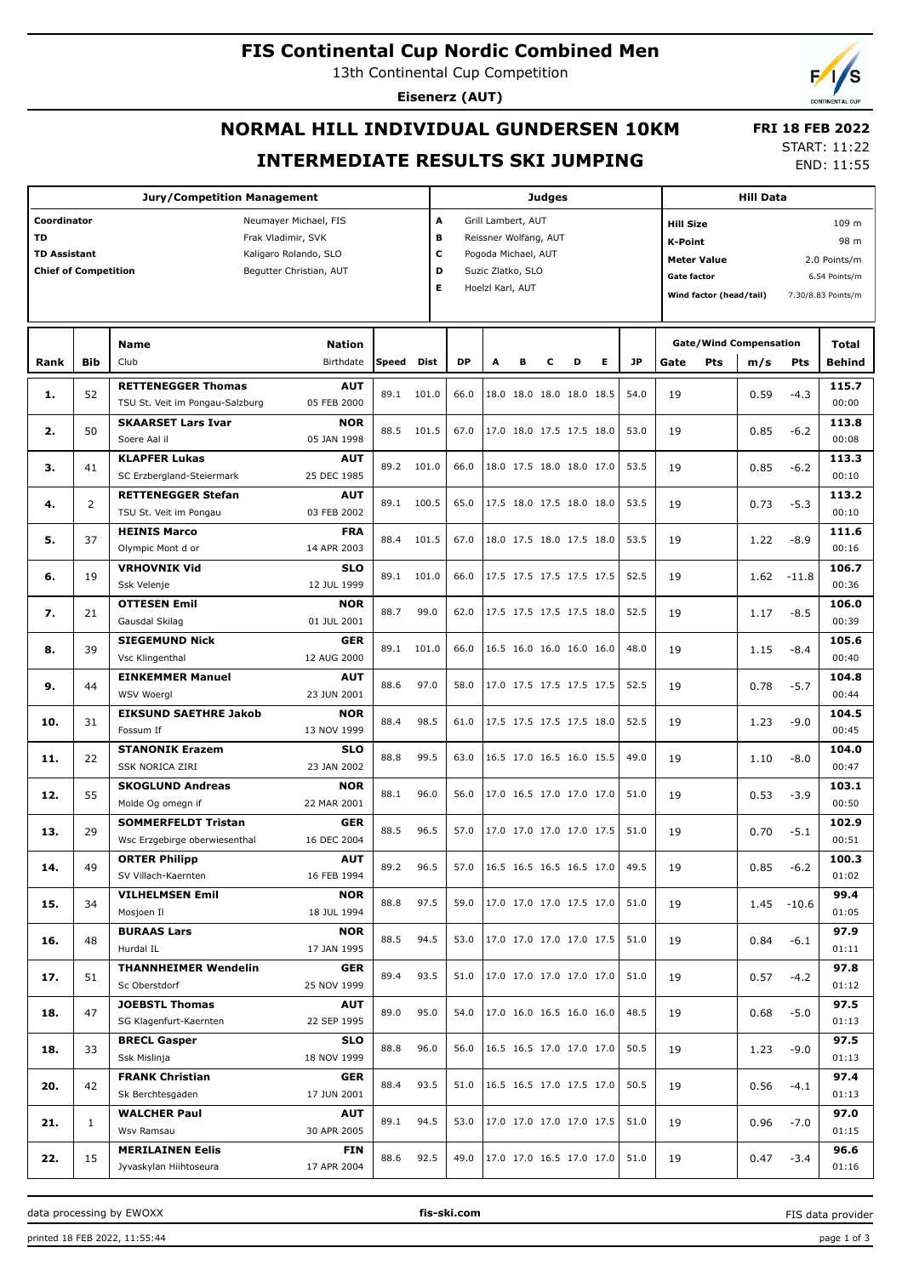## **FIS Continental Cup Nordic Combined Men**

13th Continental Cup Competition

**Eisenerz (AUT)**

# **NORMAL HILL INDIVIDUAL GUNDERSEN 10KM INTERMEDIATE RESULTS SKI JUMPING**

 **FRI 18 FEB 2022** START: 11:22

END: 11:55

| <b>Jury/Competition Management</b>                     |                    |                                                        |                           |       |       |                         | <b>Judges</b>            |                            |                          |                          |    |                                           |                                                                |            | <b>Hill Data</b>              |               |                |  |  |
|--------------------------------------------------------|--------------------|--------------------------------------------------------|---------------------------|-------|-------|-------------------------|--------------------------|----------------------------|--------------------------|--------------------------|----|-------------------------------------------|----------------------------------------------------------------|------------|-------------------------------|---------------|----------------|--|--|
| Coordinator                                            |                    |                                                        | Neumayer Michael, FIS     |       |       | A<br>Grill Lambert, AUT |                          |                            |                          |                          |    |                                           | <b>Hill Size</b><br>109 m                                      |            |                               |               |                |  |  |
| <b>TD</b>                                              | Frak Vladimir, SVK |                                                        |                           |       |       |                         |                          | в<br>Reissner Wolfang, AUT |                          |                          |    |                                           |                                                                |            | 98 m<br><b>K-Point</b>        |               |                |  |  |
| <b>TD Assistant</b><br>Kaligaro Rolando, SLO           |                    |                                                        |                           |       |       |                         | c<br>Pogoda Michael, AUT |                            |                          |                          |    |                                           | <b>Meter Value</b><br>2.0 Points/m                             |            |                               |               |                |  |  |
| <b>Chief of Competition</b><br>Begutter Christian, AUT |                    |                                                        |                           |       |       |                         | D<br>Suzic Zlatko, SLO   |                            |                          |                          |    |                                           | <b>Gate factor</b>                                             |            |                               |               |                |  |  |
|                                                        |                    |                                                        |                           |       |       | E.<br>Hoelzl Karl, AUT  |                          |                            |                          |                          |    |                                           | 6.54 Points/m<br>Wind factor (head/tail)<br>7.30/8.83 Points/m |            |                               |               |                |  |  |
|                                                        |                    |                                                        |                           |       |       |                         |                          |                            |                          |                          |    |                                           |                                                                |            |                               |               |                |  |  |
|                                                        |                    |                                                        |                           |       |       |                         |                          |                            |                          |                          |    |                                           |                                                                |            |                               |               |                |  |  |
|                                                        |                    | <b>Name</b>                                            | <b>Nation</b>             |       |       |                         |                          |                            |                          |                          |    |                                           |                                                                |            | <b>Gate/Wind Compensation</b> |               | Total          |  |  |
| Rank                                                   | <b>Bib</b>         | Club                                                   | Birthdate                 | Speed | Dist  | DP                      | A                        | в                          | с                        | D                        | E. | <b>JP</b>                                 | Gate                                                           | <b>Pts</b> | m/s                           | Pts           | <b>Behind</b>  |  |  |
| 1.                                                     | 52                 | <b>RETTENEGGER Thomas</b>                              | <b>AUT</b>                | 89.1  | 101.0 | 66.0                    |                          |                            |                          | 18.0 18.0 18.0 18.0 18.5 |    | 54.0                                      | 19                                                             |            | 0.59                          | $-4.3$        | 115.7          |  |  |
|                                                        |                    | TSU St. Veit im Pongau-Salzburg                        | 05 FEB 2000               |       |       |                         |                          |                            |                          |                          |    |                                           |                                                                |            |                               |               | 00:00          |  |  |
| 2.                                                     | 50                 | <b>SKAARSET Lars Ivar</b>                              | <b>NOR</b>                | 88.5  | 101.5 | 67.0                    |                          |                            |                          | 17.0 18.0 17.5 17.5 18.0 |    | 53.0                                      | 19                                                             |            | 0.85                          | $-6.2$        | 113.8          |  |  |
|                                                        |                    | Soere Aal il                                           | 05 JAN 1998               |       |       |                         |                          |                            |                          |                          |    |                                           |                                                                |            |                               |               | 00:08          |  |  |
| з.                                                     | 41                 | <b>KLAPFER Lukas</b>                                   | <b>AUT</b>                | 89.2  | 101.0 | 66.0                    |                          |                            |                          | 18.0 17.5 18.0 18.0 17.0 |    | 53.5                                      | 19                                                             |            | 0.85                          | $-6.2$        | 113.3<br>00:10 |  |  |
|                                                        |                    | SC Erzbergland-Steiermark<br><b>RETTENEGGER Stefan</b> | 25 DEC 1985<br><b>AUT</b> |       |       |                         |                          |                            |                          |                          |    |                                           |                                                                |            |                               |               | 113.2          |  |  |
| 4.                                                     | 2                  | TSU St. Veit im Pongau                                 | 03 FEB 2002               | 89.1  | 100.5 | 65.0                    |                          |                            |                          | 17.5 18.0 17.5 18.0 18.0 |    | 53.5                                      | 19                                                             |            | 0.73                          | $-5.3$        | 00:10          |  |  |
|                                                        |                    | <b>HEINIS Marco</b>                                    | <b>FRA</b>                |       |       |                         |                          |                            |                          |                          |    |                                           |                                                                |            |                               |               | 111.6          |  |  |
| 5.                                                     | 37                 | Olympic Mont d or                                      | 14 APR 2003               | 88.4  | 101.5 | 67.0                    |                          |                            | 18.0 17.5 18.0 17.5 18.0 |                          |    | 53.5                                      | 19                                                             |            | 1.22                          | $-8.9$        | 00:16          |  |  |
|                                                        |                    | <b>VRHOVNIK Vid</b>                                    | <b>SLO</b>                |       |       |                         |                          |                            |                          |                          |    |                                           |                                                                |            |                               |               | 106.7          |  |  |
| 6.                                                     | 19                 | Ssk Velenje                                            | 12 JUL 1999               | 89.1  | 101.0 | 66.0                    |                          |                            |                          | 17.5 17.5 17.5 17.5 17.5 |    | 52.5                                      | 19                                                             |            | 1.62                          | $-11.8$       | 00:36          |  |  |
|                                                        |                    | <b>OTTESEN Emil</b>                                    | <b>NOR</b>                |       |       |                         |                          |                            |                          |                          |    |                                           |                                                                |            |                               |               | 106.0          |  |  |
| 7.                                                     | 21                 | Gausdal Skilag                                         | 01 JUL 2001               | 88.7  | 99.0  | 62.0                    |                          |                            |                          | 17.5 17.5 17.5 17.5 18.0 |    | 52.5                                      | 19                                                             |            | 1.17                          | $-8.5$        | 00:39          |  |  |
|                                                        |                    | <b>SIEGEMUND Nick</b>                                  | <b>GER</b>                |       |       |                         |                          |                            |                          |                          |    |                                           |                                                                |            |                               |               | 105.6          |  |  |
| 8.                                                     | 39                 | Vsc Klingenthal                                        | 12 AUG 2000               | 89.1  | 101.0 | 66.0                    |                          |                            |                          | 16.5 16.0 16.0 16.0 16.0 |    | 48.0                                      | 19                                                             |            | 1.15                          | $-8.4$        | 00:40          |  |  |
|                                                        |                    | <b>EINKEMMER Manuel</b>                                | <b>AUT</b>                |       |       |                         |                          |                            |                          |                          |    |                                           |                                                                |            |                               |               | 104.8          |  |  |
| 9.                                                     | 44                 | <b>WSV Woergl</b>                                      | 23 JUN 2001               | 88.6  | 97.0  | 58.0                    |                          |                            |                          | 17.0 17.5 17.5 17.5 17.5 |    | 52.5                                      | 19                                                             |            | 0.78                          | $-5.7$        | 00:44          |  |  |
|                                                        |                    | <b>EIKSUND SAETHRE Jakob</b>                           | <b>NOR</b>                |       |       |                         |                          |                            |                          |                          |    |                                           |                                                                |            |                               |               | 104.5          |  |  |
| 10.                                                    | 31                 | Fossum If                                              | 13 NOV 1999               | 88.4  | 98.5  | 61.0                    |                          |                            |                          | 17.5 17.5 17.5 17.5 18.0 |    | 52.5                                      | 19                                                             |            | 1.23                          | $-9.0$        | 00:45          |  |  |
|                                                        | 22                 | <b>STANONIK Erazem</b>                                 | <b>SLO</b>                | 88.8  | 99.5  | 63.0                    |                          |                            |                          | 16.5 17.0 16.5 16.0 15.5 |    | 49.0                                      | 19                                                             |            |                               |               | 104.0          |  |  |
| 11.                                                    |                    | <b>SSK NORICA ZIRI</b>                                 | 23 JAN 2002               |       |       |                         |                          |                            |                          |                          |    |                                           |                                                                |            | 1.10                          | $-8.0$        | 00:47          |  |  |
| 12.                                                    | 55                 | <b>SKOGLUND Andreas</b>                                | <b>NOR</b>                | 88.1  | 96.0  | 56.0                    |                          |                            |                          | 17.0 16.5 17.0 17.0 17.0 |    | 51.0                                      | 19                                                             |            | 0.53                          | $-3.9$        | 103.1          |  |  |
|                                                        |                    | Molde Og omegn if                                      | 22 MAR 2001               |       |       |                         |                          |                            |                          |                          |    |                                           |                                                                |            |                               |               | 00:50          |  |  |
| 13.                                                    | 29                 | <b>SOMMERFELDT Tristan</b>                             | <b>GER</b>                | 88.5  | 96.5  | 57.0                    |                          |                            |                          | 17.0 17.0 17.0 17.0 17.5 |    | 51.0                                      | 19                                                             |            | 0.70                          | $-5.1$        | 102.9          |  |  |
|                                                        |                    | Wsc Erzgebirge oberwiesenthal                          | 16 DEC 2004               |       |       |                         |                          |                            |                          |                          |    |                                           |                                                                |            |                               |               | 00:51          |  |  |
| 14.                                                    | 49                 | <b>ORTER Philipp</b>                                   | <b>AUT</b>                | 89.2  | 96.5  | 57.0                    |                          |                            |                          |                          |    | $ 16.5 \t16.5 \t16.5 \t16.5 \t17.0 $ 49.5 | 19                                                             |            | 0.85                          | $-6.2$        | 100.3          |  |  |
|                                                        |                    | SV Villach-Kaernten                                    | 16 FEB 1994               |       |       |                         |                          |                            |                          |                          |    |                                           |                                                                |            |                               |               | 01:02          |  |  |
| 15.                                                    | 34                 | <b>VILHELMSEN Emil</b>                                 | <b>NOR</b>                | 88.8  | 97.5  | 59.0                    |                          |                            |                          | 17.0 17.0 17.0 17.5 17.0 |    | 51.0                                      | 19                                                             |            |                               | $1.45 - 10.6$ | 99.4           |  |  |
|                                                        |                    | Mosjoen Il                                             | 18 JUL 1994               |       |       |                         |                          |                            |                          |                          |    |                                           |                                                                |            |                               |               | 01:05          |  |  |
| 16.                                                    | 48                 | <b>BURAAS Lars</b>                                     | <b>NOR</b>                | 88.5  | 94.5  | 53.0                    |                          |                            |                          | 17.0 17.0 17.0 17.0 17.5 |    | 51.0                                      | 19                                                             |            | 0.84                          | $-6.1$        | 97.9           |  |  |
|                                                        |                    | Hurdal IL                                              | 17 JAN 1995               |       |       |                         |                          |                            |                          |                          |    |                                           |                                                                |            |                               |               | 01:11          |  |  |
| 17.                                                    | 51                 | <b>THANNHEIMER Wendelin</b>                            | GER                       | 89.4  | 93.5  | 51.0                    |                          |                            |                          | 17.0 17.0 17.0 17.0 17.0 |    | 51.0                                      | 19                                                             |            | 0.57                          | -4.2          | 97.8           |  |  |
|                                                        |                    | Sc Oberstdorf                                          | 25 NOV 1999               |       |       |                         |                          |                            |                          |                          |    |                                           |                                                                |            |                               |               | 01:12          |  |  |
| 18.                                                    | 47                 | <b>JOEBSTL Thomas</b>                                  | <b>AUT</b>                | 89.0  | 95.0  | 54.0                    |                          |                            |                          | 17.0 16.0 16.5 16.0 16.0 |    | 48.5                                      | 19                                                             |            | 0.68                          | $-5.0$        | 97.5           |  |  |
|                                                        |                    | SG Klagenfurt-Kaernten                                 | 22 SEP 1995               |       |       |                         |                          |                            |                          |                          |    |                                           |                                                                |            |                               |               | 01:13          |  |  |
| 18.                                                    | 33                 | <b>BRECL Gasper</b>                                    | <b>SLO</b>                | 88.8  | 96.0  | 56.0                    |                          |                            |                          | 16.5 16.5 17.0 17.0 17.0 |    | 50.5                                      | 19                                                             |            | 1.23                          | $-9.0$        | 97.5           |  |  |
|                                                        |                    | Ssk Mislinja                                           | 18 NOV 1999               |       |       |                         |                          |                            |                          |                          |    |                                           |                                                                |            |                               |               | 01:13          |  |  |
| 20.                                                    | 42                 | <b>FRANK Christian</b>                                 | GER                       | 88.4  | 93.5  | 51.0                    |                          |                            |                          | 16.5 16.5 17.0 17.5 17.0 |    | 50.5                                      | 19                                                             |            | 0.56                          | $-4.1$        | 97.4           |  |  |
|                                                        |                    | Sk Berchtesgaden                                       | 17 JUN 2001               |       |       |                         |                          |                            |                          |                          |    |                                           |                                                                |            |                               |               | 01:13          |  |  |
| 21.                                                    | $\mathbf{1}$       | <b>WALCHER Paul</b>                                    | <b>AUT</b>                | 89.1  | 94.5  | 53.0                    |                          |                            |                          | 17.0 17.0 17.0 17.0 17.5 |    | 51.0                                      | 19                                                             |            | 0.96                          | $-7.0$        | 97.0           |  |  |
|                                                        |                    | Wsv Ramsau                                             | 30 APR 2005               |       |       |                         |                          |                            |                          |                          |    |                                           |                                                                |            |                               |               | 01:15          |  |  |
| 22.                                                    | 15                 | <b>MERILAINEN Eelis</b><br>Jyvaskylan Hiihtoseura      | <b>FIN</b><br>17 APR 2004 | 88.6  | 92.5  | 49.0                    |                          |                            |                          | 17.0 17.0 16.5 17.0 17.0 |    | 51.0                                      | 19                                                             |            | 0.47                          | $-3.4$        | 96.6<br>01:16  |  |  |
|                                                        |                    |                                                        |                           |       |       |                         |                          |                            |                          |                          |    |                                           |                                                                |            |                               |               |                |  |  |

data processing by EWOXX **fis-ski.com**

FIS data provider

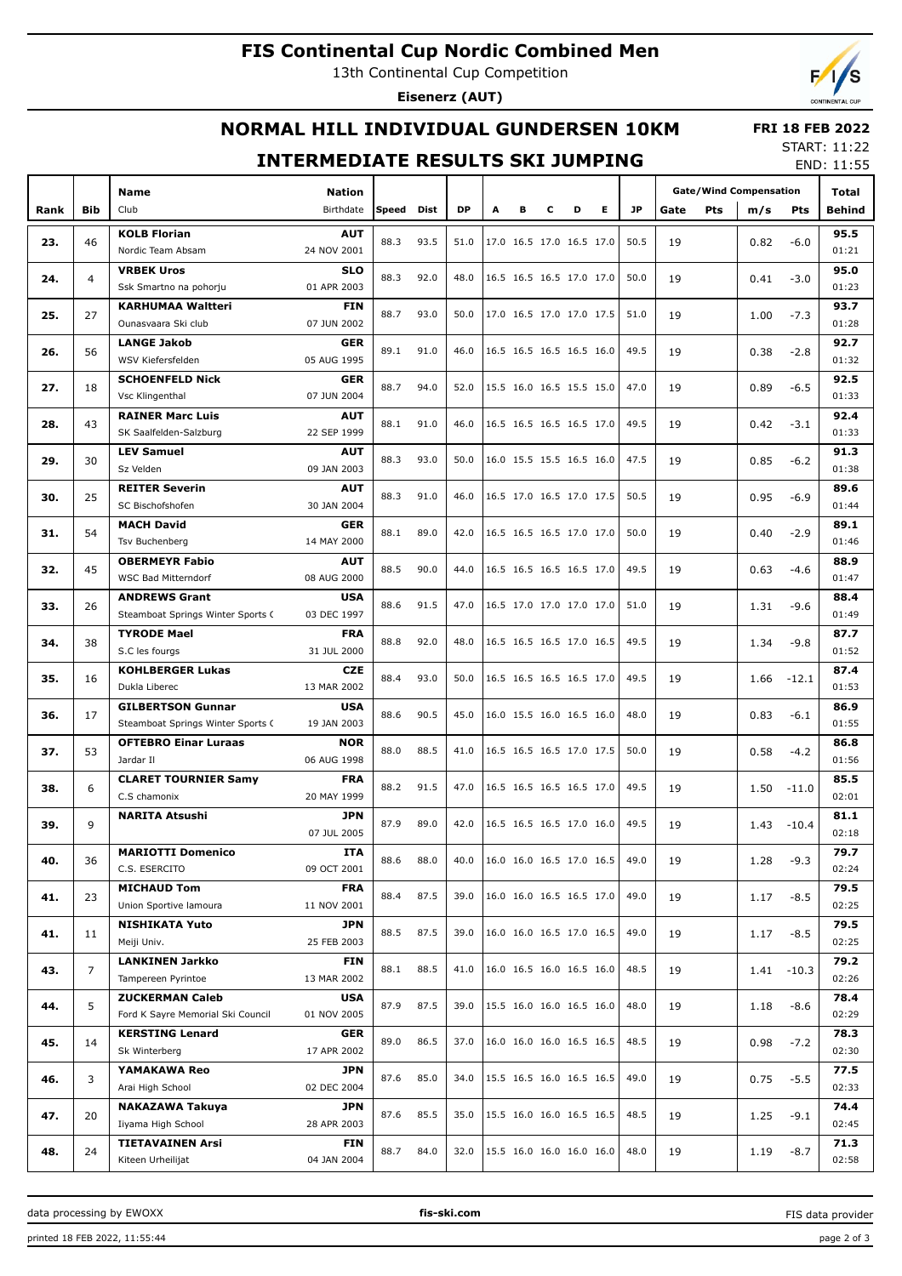# **FIS Continental Cup Nordic Combined Men**

13th Continental Cup Competition

**Eisenerz (AUT)**

# **NORMAL HILL INDIVIDUAL GUNDERSEN 10KM**

#### **FRI 18 FEB 2022** START: 11:22

### **INTERMEDIATE RESULTS SKI JUMPING**

END: 11:55

|                   |                | <b>Name</b>                       |                                                                 |       |      |           |   |                          |                          |   |                          | <b>Gate/Wind Compensation</b> |    |  |      |         |                                                                                                                                                                                                                                                                                 |  |
|-------------------|----------------|-----------------------------------|-----------------------------------------------------------------|-------|------|-----------|---|--------------------------|--------------------------|---|--------------------------|-------------------------------|----|--|------|---------|---------------------------------------------------------------------------------------------------------------------------------------------------------------------------------------------------------------------------------------------------------------------------------|--|
| Rank              | Bib            | Club                              | <b>Nation</b><br>Birthdate                                      | Speed | Dist | <b>DP</b> | Α | в                        | с                        | D | Е                        | <b>JP</b><br>Pts<br>Gate      |    |  | m/s  | Pts     |                                                                                                                                                                                                                                                                                 |  |
|                   |                |                                   |                                                                 |       |      |           |   |                          |                          |   |                          |                               |    |  |      |         |                                                                                                                                                                                                                                                                                 |  |
| 23.               | 46             | <b>KOLB Florian</b>               | <b>AUT</b>                                                      | 88.3  | 93.5 | 51.0      |   | 17.0 16.5 17.0 16.5 17.0 |                          |   |                          | 50.5                          | 19 |  | 0.82 | $-6.0$  |                                                                                                                                                                                                                                                                                 |  |
|                   |                | Nordic Team Absam                 | 24 NOV 2001                                                     |       |      |           |   |                          |                          |   |                          |                               |    |  |      |         |                                                                                                                                                                                                                                                                                 |  |
| 24.               | 4              | <b>VRBEK Uros</b>                 | <b>SLO</b>                                                      | 88.3  | 92.0 | 48.0      |   | 16.5 16.5 16.5 17.0 17.0 |                          |   |                          | 50.0                          | 19 |  | 0.41 | $-3.0$  |                                                                                                                                                                                                                                                                                 |  |
|                   |                | Ssk Smartno na pohorju            | 01 APR 2003                                                     |       |      |           |   |                          |                          |   |                          |                               |    |  |      |         |                                                                                                                                                                                                                                                                                 |  |
| 25.               | 27             | <b>KARHUMAA Waltteri</b>          | <b>FIN</b>                                                      | 88.7  | 93.0 | 50.0      |   | 17.0 16.5 17.0 17.0 17.5 |                          |   |                          | 51.0                          | 19 |  | 1.00 | $-7.3$  |                                                                                                                                                                                                                                                                                 |  |
|                   |                | Ounasyaara Ski club               | 07 JUN 2002                                                     |       |      |           |   |                          |                          |   |                          |                               |    |  |      |         | 01:28                                                                                                                                                                                                                                                                           |  |
| 26.               | 56             | <b>LANGE Jakob</b>                | <b>GER</b>                                                      | 89.1  | 91.0 | 46.0      |   | 16.5 16.5 16.5 16.5 16.0 |                          |   |                          | 49.5                          | 19 |  | 0.38 | $-2.8$  | 92.7                                                                                                                                                                                                                                                                            |  |
|                   |                | WSV Kiefersfelden                 | 05 AUG 1995                                                     |       |      |           |   |                          |                          |   |                          |                               |    |  |      |         | 01:32                                                                                                                                                                                                                                                                           |  |
| 27.               | 18             | <b>SCHOENFELD Nick</b>            | <b>GER</b>                                                      | 88.7  | 94.0 | 52.0      |   | 15.5 16.0 16.5 15.5 15.0 |                          |   |                          | 47.0                          | 19 |  | 0.89 | $-6.5$  | 92.5                                                                                                                                                                                                                                                                            |  |
|                   |                | Vsc Klingenthal                   | 07 JUN 2004                                                     |       |      |           |   |                          |                          |   |                          |                               |    |  |      |         | 01:33                                                                                                                                                                                                                                                                           |  |
| 28.               | 43             | <b>RAINER Marc Luis</b>           | <b>AUT</b>                                                      | 88.1  | 91.0 | 46.0      |   | 16.5 16.5 16.5 16.5 17.0 |                          |   |                          | 49.5                          | 19 |  | 0.42 | $-3.1$  | 92.4                                                                                                                                                                                                                                                                            |  |
|                   |                | SK Saalfelden-Salzburg            | 22 SEP 1999                                                     |       |      |           |   |                          |                          |   |                          |                               |    |  |      |         | 01:33                                                                                                                                                                                                                                                                           |  |
| 29.               | 30             | <b>LEV Samuel</b><br><b>AUT</b>   |                                                                 | 88.3  | 93.0 | 50.0      |   | 16.0 15.5 15.5 16.5 16.0 |                          |   |                          | 47.5                          | 19 |  | 0.85 | $-6.2$  | 91.3                                                                                                                                                                                                                                                                            |  |
|                   |                | Sz Velden                         | 09 JAN 2003                                                     |       |      |           |   |                          |                          |   |                          |                               |    |  |      |         | 01:38                                                                                                                                                                                                                                                                           |  |
| 30.               | 25             | <b>REITER Severin</b>             | <b>AUT</b>                                                      | 88.3  | 91.0 | 46.0      |   |                          |                          |   | 16.5 17.0 16.5 17.0 17.5 | 50.5                          | 19 |  | 0.95 | $-6.9$  | 89.6                                                                                                                                                                                                                                                                            |  |
|                   |                | SC Bischofshofen                  | 30 JAN 2004                                                     |       |      |           |   |                          |                          |   |                          |                               |    |  |      |         | 01:44                                                                                                                                                                                                                                                                           |  |
|                   | 54             | <b>MACH David</b>                 | <b>GER</b>                                                      |       |      |           |   |                          |                          |   |                          | 50.0                          |    |  |      |         | 01:21<br>95.0<br>01:23<br>93.7<br>89.1<br>$-2.9$<br>01:46<br>88.9<br>$-4.6$<br>01:47<br>88.4<br>01:49<br>87.7<br>01:52<br>87.4<br>01:53<br>86.9<br>01:55<br>86.8<br>01:56<br>85.5<br>02:01<br>81.1<br>02:18<br>79.7<br>02:24<br>79.5<br>02:25<br>79.5<br>02:25<br>79.2<br>02:26 |  |
| 31.               |                | Tsv Buchenberg                    | 89.0<br>16.5 16.5 16.5 17.0 17.0<br>88.1<br>42.0<br>14 MAY 2000 |       |      |           |   |                          | 19                       |   | 0.40                     |                               |    |  |      |         |                                                                                                                                                                                                                                                                                 |  |
|                   | 45             | <b>OBERMEYR Fabio</b>             | <b>AUT</b>                                                      | 88.5  | 90.0 | 44.0      |   | 16.5 16.5 16.5 16.5 17.0 |                          |   |                          | 49.5                          |    |  |      |         |                                                                                                                                                                                                                                                                                 |  |
| 32.               |                | WSC Bad Mitterndorf               | 08 AUG 2000                                                     |       |      |           |   |                          |                          |   |                          |                               | 19 |  | 0.63 |         | Total<br><b>Behind</b><br>95.5<br>78.4<br>02:29<br>78.3<br>02:30<br>77.5<br>02:33<br>74.4<br>02:45<br>71.3                                                                                                                                                                      |  |
| 33.<br>34.<br>35. |                | <b>ANDREWS Grant</b>              | <b>USA</b>                                                      |       |      |           |   |                          |                          |   |                          |                               |    |  |      |         |                                                                                                                                                                                                                                                                                 |  |
|                   | 26             | Steamboat Springs Winter Sports C | 03 DEC 1997                                                     | 88.6  | 91.5 | 47.0      |   | 16.5 17.0 17.0 17.0 17.0 |                          |   |                          | 51.0                          | 19 |  | 1.31 | $-9.6$  |                                                                                                                                                                                                                                                                                 |  |
|                   |                | <b>TYRODE Mael</b>                | <b>FRA</b>                                                      |       |      |           |   |                          |                          |   |                          |                               |    |  |      |         |                                                                                                                                                                                                                                                                                 |  |
|                   | 38             | S.C les fourgs                    | 31 JUL 2000                                                     | 88.8  | 92.0 | 48.0      |   | 16.5 16.5 16.5 17.0 16.5 |                          |   |                          | 49.5                          | 19 |  | 1.34 | $-9.8$  |                                                                                                                                                                                                                                                                                 |  |
|                   |                | <b>KOHLBERGER Lukas</b>           | <b>CZE</b>                                                      |       |      |           |   |                          |                          |   |                          |                               |    |  |      |         |                                                                                                                                                                                                                                                                                 |  |
|                   | 16             | Dukla Liberec                     | 13 MAR 2002                                                     | 88.4  | 93.0 | 50.0      |   | 16.5 16.5 16.5 16.5 17.0 |                          |   |                          | 49.5                          | 19 |  | 1.66 | $-12.1$ |                                                                                                                                                                                                                                                                                 |  |
|                   |                | <b>GILBERTSON Gunnar</b>          | <b>USA</b>                                                      |       |      |           |   |                          |                          |   |                          |                               |    |  |      |         |                                                                                                                                                                                                                                                                                 |  |
| 36.               | 17             | Steamboat Springs Winter Sports C | 19 JAN 2003                                                     | 88.6  | 90.5 | 45.0      |   | 16.0 15.5 16.0 16.5 16.0 |                          |   |                          | 48.0                          | 19 |  | 0.83 | $-6.1$  |                                                                                                                                                                                                                                                                                 |  |
|                   |                | <b>OFTEBRO Einar Luraas</b>       | <b>NOR</b>                                                      |       |      |           |   |                          |                          |   |                          |                               |    |  |      |         |                                                                                                                                                                                                                                                                                 |  |
| 37.               | 53             | Jardar II                         | 06 AUG 1998                                                     | 88.0  | 88.5 | 41.0      |   | 16.5 16.5 16.5 17.0 17.5 |                          |   |                          | 50.0                          | 19 |  | 0.58 | $-4.2$  |                                                                                                                                                                                                                                                                                 |  |
|                   |                | <b>CLARET TOURNIER Samy</b>       | <b>FRA</b>                                                      |       |      |           |   |                          |                          |   |                          |                               |    |  |      |         |                                                                                                                                                                                                                                                                                 |  |
| 38.               | 6              | C.S chamonix                      | 20 MAY 1999                                                     | 88.2  | 91.5 | 47.0      |   | 16.5 16.5 16.5 16.5 17.0 |                          |   |                          | 49.5                          | 19 |  | 1.50 | $-11.0$ |                                                                                                                                                                                                                                                                                 |  |
|                   |                | <b>NARITA Atsushi</b>             | <b>JPN</b>                                                      |       |      |           |   |                          |                          |   |                          |                               |    |  |      |         |                                                                                                                                                                                                                                                                                 |  |
| 39.               | 9              |                                   | 07 JUL 2005                                                     | 87.9  | 89.0 | 42.0      |   | 16.5 16.5 16.5 17.0 16.0 |                          |   |                          | 49.5                          | 19 |  | 1.43 | $-10.4$ |                                                                                                                                                                                                                                                                                 |  |
|                   |                | <b>MARIOTTI Domenico</b>          | <b>ITA</b>                                                      |       |      |           |   |                          |                          |   |                          |                               |    |  |      |         |                                                                                                                                                                                                                                                                                 |  |
| 40.               | 36             | C.S. ESERCITO                     | 09 OCT 2001                                                     | 88.6  | 88.0 | 40.0      |   |                          |                          |   | 16.0 16.0 16.5 17.0 16.5 | 49.0                          | 19 |  | 1.28 | $-9.3$  |                                                                                                                                                                                                                                                                                 |  |
|                   |                | <b>MICHAUD Tom</b>                | <b>FRA</b>                                                      |       |      |           |   |                          |                          |   |                          |                               |    |  |      |         |                                                                                                                                                                                                                                                                                 |  |
| 41.               | 23             | Union Sportive lamoura            | 11 NOV 2001                                                     | 88.4  | 87.5 | 39.0      |   |                          |                          |   | 16.0 16.0 16.5 16.5 17.0 | 49.0                          | 19 |  | 1.17 | $-8.5$  |                                                                                                                                                                                                                                                                                 |  |
|                   |                | <b>NISHIKATA Yuto</b>             | <b>JPN</b>                                                      |       |      |           |   |                          |                          |   |                          |                               |    |  |      |         |                                                                                                                                                                                                                                                                                 |  |
| 41.               | 11             | Meiji Univ.                       | 25 FEB 2003                                                     | 88.5  | 87.5 | 39.0      |   | 16.0 16.0 16.5 17.0 16.5 |                          |   |                          | 49.0                          | 19 |  | 1.17 | $-8.5$  |                                                                                                                                                                                                                                                                                 |  |
|                   |                | <b>LANKINEN Jarkko</b>            | FIN                                                             |       |      |           |   |                          |                          |   |                          |                               |    |  |      |         |                                                                                                                                                                                                                                                                                 |  |
| 43.               | $\overline{7}$ | Tampereen Pyrintoe                | 13 MAR 2002                                                     | 88.1  | 88.5 | 41.0      |   |                          |                          |   | 16.0 16.5 16.0 16.5 16.0 | 48.5                          | 19 |  | 1.41 | $-10.3$ |                                                                                                                                                                                                                                                                                 |  |
|                   |                | <b>ZUCKERMAN Caleb</b>            | USA                                                             |       |      |           |   |                          |                          |   |                          |                               |    |  |      |         |                                                                                                                                                                                                                                                                                 |  |
| 44.               | 5              | Ford K Sayre Memorial Ski Council | 01 NOV 2005                                                     | 87.9  | 87.5 | 39.0      |   |                          |                          |   | 15.5 16.0 16.0 16.5 16.0 | 48.0                          | 19 |  | 1.18 | $-8.6$  |                                                                                                                                                                                                                                                                                 |  |
|                   |                | <b>KERSTING Lenard</b>            | <b>GER</b>                                                      |       |      |           |   |                          |                          |   |                          |                               |    |  |      |         |                                                                                                                                                                                                                                                                                 |  |
| 45.               | 14             | Sk Winterberg                     | 17 APR 2002                                                     | 89.0  | 86.5 | 37.0      |   |                          |                          |   | 16.0 16.0 16.0 16.5 16.5 | 48.5                          | 19 |  | 0.98 | $-7.2$  |                                                                                                                                                                                                                                                                                 |  |
|                   |                | YAMAKAWA Reo                      | JPN                                                             |       |      |           |   |                          |                          |   |                          |                               |    |  |      |         |                                                                                                                                                                                                                                                                                 |  |
| 46.               | 3              | Arai High School                  | 02 DEC 2004                                                     | 87.6  | 85.0 | 34.0      |   |                          | 15.5 16.5 16.0 16.5 16.5 |   |                          | 49.0                          | 19 |  | 0.75 | $-5.5$  |                                                                                                                                                                                                                                                                                 |  |
|                   |                | NAKAZAWA Takuya                   | JPN                                                             |       |      |           |   |                          |                          |   |                          |                               |    |  |      |         |                                                                                                                                                                                                                                                                                 |  |
| 47.               | 20             | Iiyama High School                | 28 APR 2003                                                     | 87.6  | 85.5 | 35.0      |   |                          |                          |   | 15.5 16.0 16.0 16.5 16.5 | 48.5                          | 19 |  | 1.25 | $-9.1$  |                                                                                                                                                                                                                                                                                 |  |
|                   |                | <b>TIETAVAINEN Arsi</b>           | FIN                                                             |       |      |           |   |                          |                          |   |                          |                               |    |  |      |         |                                                                                                                                                                                                                                                                                 |  |
| 48.               | 24             | Kiteen Urheilijat                 | 04 JAN 2004                                                     | 88.7  | 84.0 | 32.0      |   |                          |                          |   | 15.5 16.0 16.0 16.0 16.0 | 48.0                          | 19 |  | 1.19 | $-8.7$  | 02:58                                                                                                                                                                                                                                                                           |  |
|                   |                |                                   |                                                                 |       |      |           |   |                          |                          |   |                          |                               |    |  |      |         |                                                                                                                                                                                                                                                                                 |  |

data processing by EWOXX **fis-ski.com**

FIS data provider